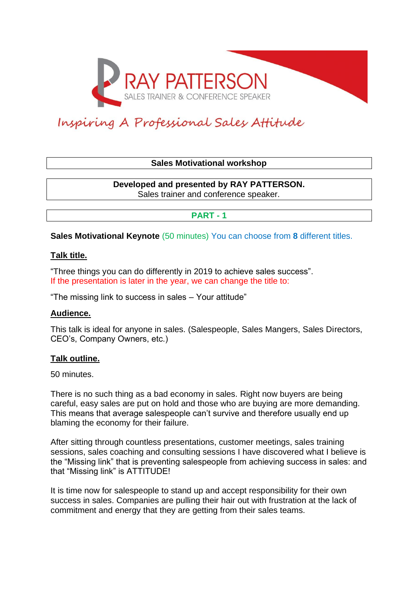

# Inspiring A Professional Sales Attitude

# **Sales Motivational workshop**

**Developed and presented by RAY PATTERSON.** Sales trainer and conference speaker.

# **PART - 1**

**Sales Motivational Keynote** (50 minutes) You can choose from **8** different titles.

## **Talk title.**

"Three things you can do differently in 2019 to achieve sales success". If the presentation is later in the year, we can change the title to:

"The missing link to success in sales – Your attitude"

## **Audience.**

This talk is ideal for anyone in sales. (Salespeople, Sales Mangers, Sales Directors, CEO's, Company Owners, etc.)

## **Talk outline.**

50 minutes.

There is no such thing as a bad economy in sales. Right now buyers are being careful, easy sales are put on hold and those who are buying are more demanding. This means that average salespeople can't survive and therefore usually end up blaming the economy for their failure.

After sitting through countless presentations, customer meetings, sales training sessions, sales coaching and consulting sessions I have discovered what I believe is the "Missing link" that is preventing salespeople from achieving success in sales: and that "Missing link" is ATTITUDE!

It is time now for salespeople to stand up and accept responsibility for their own success in sales. Companies are pulling their hair out with frustration at the lack of commitment and energy that they are getting from their sales teams.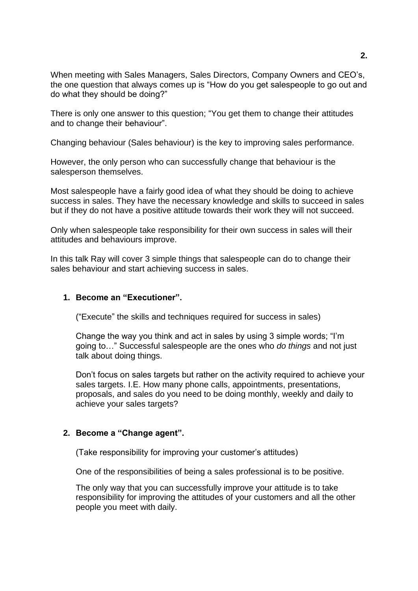When meeting with Sales Managers, Sales Directors, Company Owners and CEO's, the one question that always comes up is "How do you get salespeople to go out and do what they should be doing?"

There is only one answer to this question; "You get them to change their attitudes and to change their behaviour".

Changing behaviour (Sales behaviour) is the key to improving sales performance.

However, the only person who can successfully change that behaviour is the salesperson themselves.

Most salespeople have a fairly good idea of what they should be doing to achieve success in sales. They have the necessary knowledge and skills to succeed in sales but if they do not have a positive attitude towards their work they will not succeed.

Only when salespeople take responsibility for their own success in sales will their attitudes and behaviours improve.

In this talk Ray will cover 3 simple things that salespeople can do to change their sales behaviour and start achieving success in sales.

## **1. Become an "Executioner".**

("Execute" the skills and techniques required for success in sales)

Change the way you think and act in sales by using 3 simple words; "I'm going to…" Successful salespeople are the ones who *do things* and not just talk about doing things.

Don't focus on sales targets but rather on the activity required to achieve your sales targets. I.E. How many phone calls, appointments, presentations, proposals, and sales do you need to be doing monthly, weekly and daily to achieve your sales targets?

## **2. Become a "Change agent".**

(Take responsibility for improving your customer's attitudes)

One of the responsibilities of being a sales professional is to be positive.

The only way that you can successfully improve your attitude is to take responsibility for improving the attitudes of your customers and all the other people you meet with daily.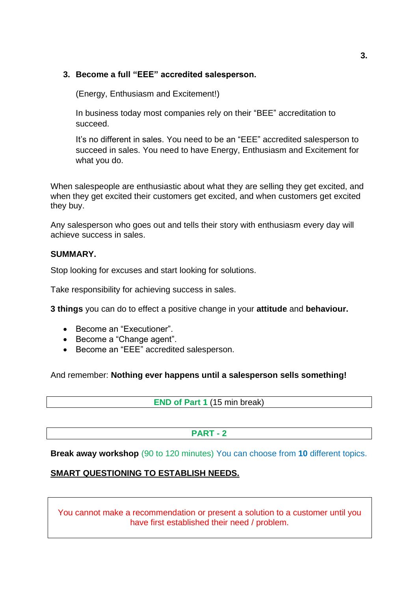# **3. Become a full "EEE" accredited salesperson.**

(Energy, Enthusiasm and Excitement!)

In business today most companies rely on their "BEE" accreditation to succeed.

It's no different in sales. You need to be an "EEE" accredited salesperson to succeed in sales. You need to have Energy, Enthusiasm and Excitement for what you do.

When salespeople are enthusiastic about what they are selling they get excited, and when they get excited their customers get excited, and when customers get excited they buy.

Any salesperson who goes out and tells their story with enthusiasm every day will achieve success in sales.

## **SUMMARY.**

Stop looking for excuses and start looking for solutions.

Take responsibility for achieving success in sales.

**3 things** you can do to effect a positive change in your **attitude** and **behaviour.**

- Become an "Executioner".
- Become a "Change agent".
- Become an "EEE" accredited salesperson.

And remember: **Nothing ever happens until a salesperson sells something!**

**END of Part 1** (15 min break)

# **PART - 2**

**Break away workshop** (90 to 120 minutes) You can choose from **10** different topics.

# **SMART QUESTIONING TO ESTABLISH NEEDS.**

You cannot make a recommendation or present a solution to a customer until you have first established their need / problem.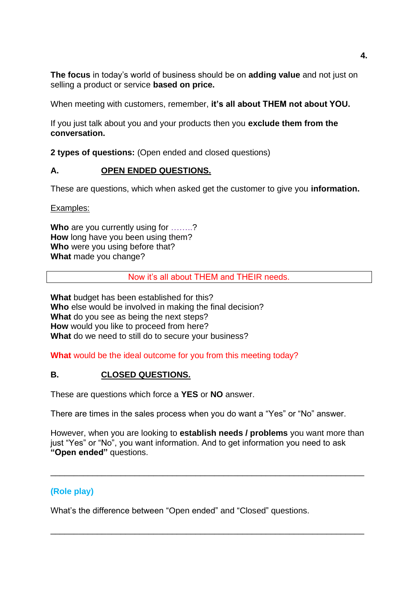**The focus** in today's world of business should be on **adding value** and not just on selling a product or service **based on price.**

When meeting with customers, remember, **it's all about THEM not about YOU.**

If you just talk about you and your products then you **exclude them from the conversation.**

**2 types of questions:** (Open ended and closed questions)

# **A. OPEN ENDED QUESTIONS.**

These are questions, which when asked get the customer to give you **information.** 

Examples:

**Who** are you currently using for ……..? **How** long have you been using them? **Who** were you using before that? **What** made you change?

Now it's all about THEM and THEIR needs.

**What** budget has been established for this? **Who** else would be involved in making the final decision? **What** do you see as being the next steps? **How** would you like to proceed from here? **What** do we need to still do to secure your business?

**What** would be the ideal outcome for you from this meeting today?

# **B. CLOSED QUESTIONS.**

These are questions which force a **YES** or **NO** answer.

There are times in the sales process when you do want a "Yes" or "No" answer.

However, when you are looking to **establish needs / problems** you want more than just "Yes" or "No", you want information. And to get information you need to ask **"Open ended"** questions.

\_\_\_\_\_\_\_\_\_\_\_\_\_\_\_\_\_\_\_\_\_\_\_\_\_\_\_\_\_\_\_\_\_\_\_\_\_\_\_\_\_\_\_\_\_\_\_\_\_\_\_\_\_\_\_\_\_\_\_\_\_\_\_\_\_\_\_

\_\_\_\_\_\_\_\_\_\_\_\_\_\_\_\_\_\_\_\_\_\_\_\_\_\_\_\_\_\_\_\_\_\_\_\_\_\_\_\_\_\_\_\_\_\_\_\_\_\_\_\_\_\_\_\_\_\_\_\_\_\_\_\_\_\_\_

# **(Role play)**

What's the difference between "Open ended" and "Closed" questions.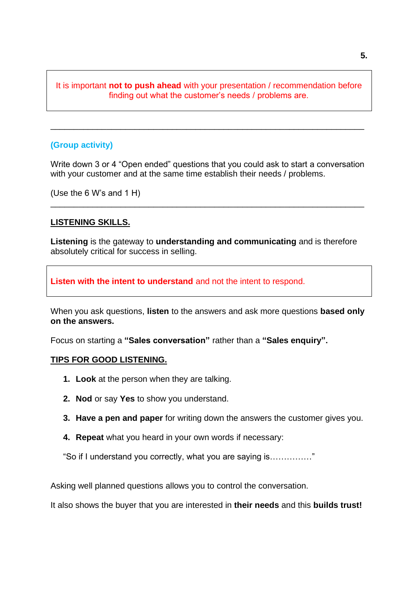# It is important **not to push ahead** with your presentation / recommendation before finding out what the customer's needs / problems are.

\_\_\_\_\_\_\_\_\_\_\_\_\_\_\_\_\_\_\_\_\_\_\_\_\_\_\_\_\_\_\_\_\_\_\_\_\_\_\_\_\_\_\_\_\_\_\_\_\_\_\_\_\_\_\_\_\_\_\_\_\_\_\_\_\_\_\_

#### **(Group activity)**

Write down 3 or 4 "Open ended" questions that you could ask to start a conversation with your customer and at the same time establish their needs / problems.

\_\_\_\_\_\_\_\_\_\_\_\_\_\_\_\_\_\_\_\_\_\_\_\_\_\_\_\_\_\_\_\_\_\_\_\_\_\_\_\_\_\_\_\_\_\_\_\_\_\_\_\_\_\_\_\_\_\_\_\_\_\_\_\_\_\_\_

(Use the 6 W's and 1 H)

#### **LISTENING SKILLS.**

**Listening** is the gateway to **understanding and communicating** and is therefore absolutely critical for success in selling.

**Listen with the intent to understand** and not the intent to respond.

When you ask questions, **listen** to the answers and ask more questions **based only on the answers.**

Focus on starting a **"Sales conversation"** rather than a **"Sales enquiry".**

#### **TIPS FOR GOOD LISTENING.**

- **1. Look** at the person when they are talking.
- **2. Nod** or say **Yes** to show you understand.
- **3. Have a pen and paper** for writing down the answers the customer gives you.
- **4. Repeat** what you heard in your own words if necessary:

"So if I understand you correctly, what you are saying is……………"

Asking well planned questions allows you to control the conversation.

It also shows the buyer that you are interested in **their needs** and this **builds trust!**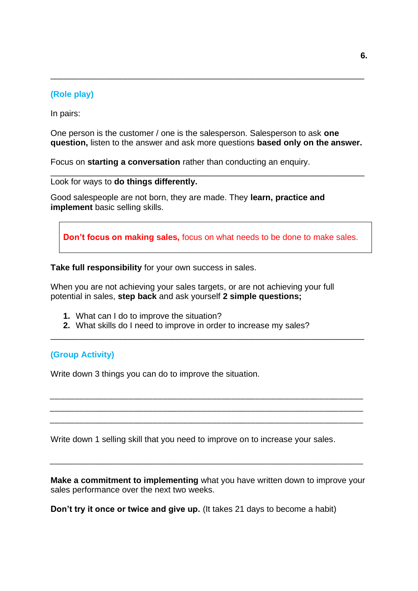# **(Role play)**

In pairs:

One person is the customer / one is the salesperson. Salesperson to ask **one question,** listen to the answer and ask more questions **based only on the answer.**

\_\_\_\_\_\_\_\_\_\_\_\_\_\_\_\_\_\_\_\_\_\_\_\_\_\_\_\_\_\_\_\_\_\_\_\_\_\_\_\_\_\_\_\_\_\_\_\_\_\_\_\_\_\_\_\_\_\_\_\_\_\_\_\_\_\_\_

\_\_\_\_\_\_\_\_\_\_\_\_\_\_\_\_\_\_\_\_\_\_\_\_\_\_\_\_\_\_\_\_\_\_\_\_\_\_\_\_\_\_\_\_\_\_\_\_\_\_\_\_\_\_\_\_\_\_\_\_\_\_\_\_\_\_\_

Focus on **starting a conversation** rather than conducting an enquiry.

Look for ways to **do things differently.**

Good salespeople are not born, they are made. They **learn, practice and implement** basic selling skills.

**Don't focus on making sales,** focus on what needs to be done to make sales.

**Take full responsibility** for your own success in sales.

When you are not achieving your sales targets, or are not achieving your full potential in sales, **step back** and ask yourself **2 simple questions;**

- **1.** What can I do to improve the situation?
- **2.** What skills do I need to improve in order to increase my sales?

\_\_\_\_\_\_\_\_\_\_\_\_\_\_\_\_\_\_\_\_\_\_\_\_\_\_\_\_\_\_\_\_\_\_\_\_\_\_\_\_\_\_\_\_\_\_\_\_\_\_\_\_\_\_\_\_\_\_\_\_\_\_\_\_\_\_\_

*\_\_\_\_\_\_\_\_\_\_\_\_\_\_\_\_\_\_\_\_\_\_\_\_\_\_\_\_\_\_\_\_\_\_\_\_\_\_\_\_\_\_\_\_\_\_\_\_\_\_\_\_\_\_\_\_\_\_\_\_\_\_\_\_ \_\_\_\_\_\_\_\_\_\_\_\_\_\_\_\_\_\_\_\_\_\_\_\_\_\_\_\_\_\_\_\_\_\_\_\_\_\_\_\_\_\_\_\_\_\_\_\_\_\_\_\_\_\_\_\_\_\_\_\_\_\_\_\_ \_\_\_\_\_\_\_\_\_\_\_\_\_\_\_\_\_\_\_\_\_\_\_\_\_\_\_\_\_\_\_\_\_\_\_\_\_\_\_\_\_\_\_\_\_\_\_\_\_\_\_\_\_\_\_\_\_\_\_\_\_\_\_\_*

## **(Group Activity)**

Write down 3 things you can do to improve the situation.

Write down 1 selling skill that you need to improve on to increase your sales.

**Make a commitment to implementing** what you have written down to improve your sales performance over the next two weeks.

*\_\_\_\_\_\_\_\_\_\_\_\_\_\_\_\_\_\_\_\_\_\_\_\_\_\_\_\_\_\_\_\_\_\_\_\_\_\_\_\_\_\_\_\_\_\_\_\_\_\_\_\_\_\_\_\_\_\_\_\_\_\_\_\_*

**Don't try it once or twice and give up.** (It takes 21 days to become a habit)